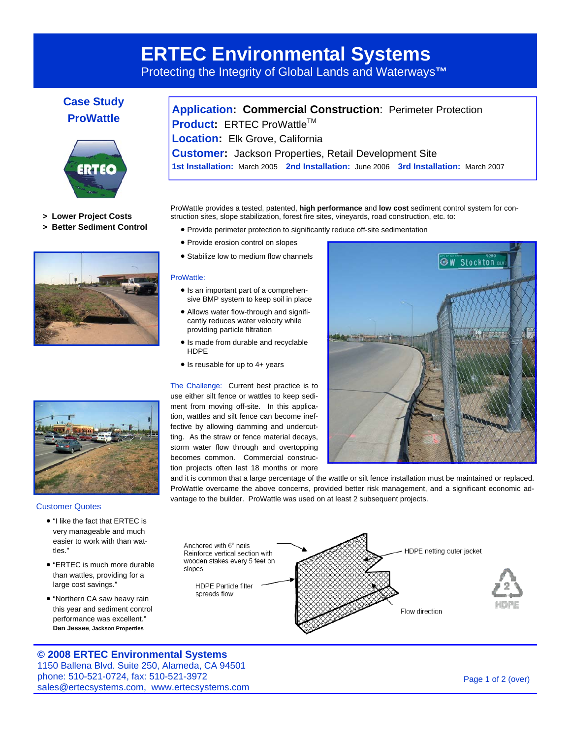# **ERTEC Environmental Systems**

Protecting the Integrity of Global Lands and Waterways**™** 

## **Case Study ProWattle Application: Commercial Construction**: Perimeter Protection



- **> Lower Project Costs**
- **> Better Sediment Control**





#### Customer Quotes

- "I like the fact that ERTEC is very manageable and much easier to work with than wattles."
- "ERTEC is much more durable than wattles, providing for a large cost savings."
- "Northern CA saw heavy rain this year and sediment control performance was excellent." **Dan Jessee, Jackson Properties**

#### ProWattle provides a tested, patented, **high performance** and **low cost** sediment control system for construction sites, slope stabilization, forest fire sites, vineyards, road construction, etc. to:

**Product:** ERTEC ProWattle™ **Location:** Elk Grove, California

• Provide perimeter protection to significantly reduce off-site sedimentation

**Customer:** Jackson Properties, Retail Development Site

**1st Installation:** March 2005 **2nd Installation:** June 2006 **3rd Installation:** March 2007

- Provide erosion control on slopes
- Stabilize low to medium flow channels

#### ProWattle:

- Is an important part of a comprehensive BMP system to keep soil in place
- Allows water flow-through and significantly reduces water velocity while providing particle filtration
- Is made from durable and recyclable HDPE
- Is reusable for up to 4+ years

The Challenge: Current best practice is to use either silt fence or wattles to keep sediment from moving off-site. In this application, wattles and silt fence can become ineffective by allowing damming and undercutting. As the straw or fence material decays, storm water flow through and overtopping becomes common. Commercial construction projects often last 18 months or more



and it is common that a large percentage of the wattle or silt fence installation must be maintained or replaced. ProWattle overcame the above concerns, provided better risk management, and a significant economic advantage to the builder. ProWattle was used on at least 2 subsequent projects.



### **© 2008 ERTEC Environmental Systems**

1150 Ballena Blvd. Suite 250, Alameda, CA 94501 phone: 510-521-0724, fax: 510-521-3972 sales@ertecsystems.com, www.ertecsystems.com